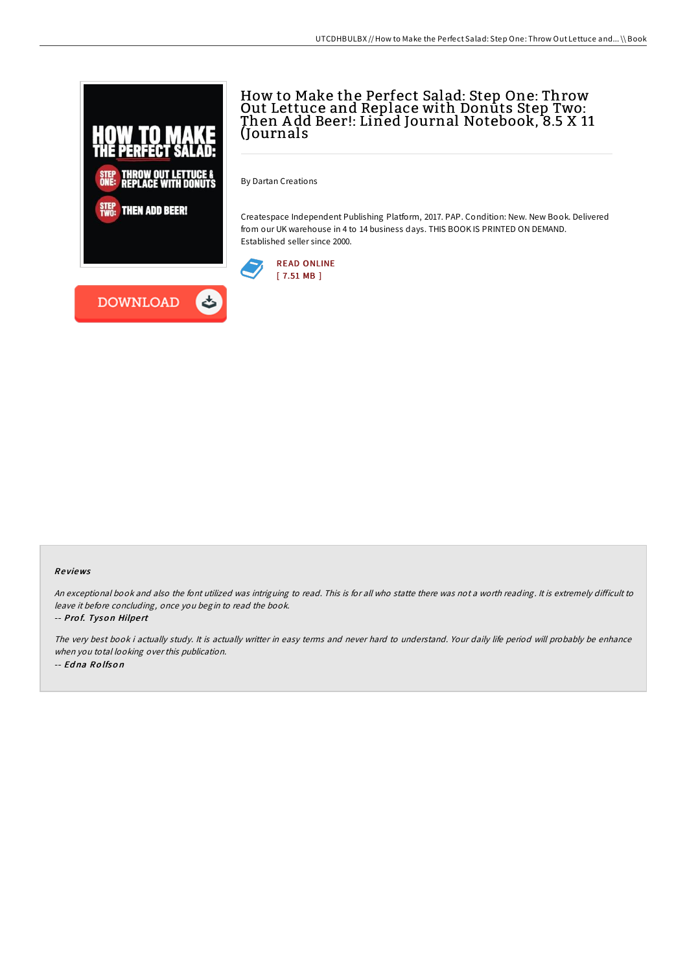

**DOWNLOAD** 

# How to Make the Perfect Salad: Step One: Throw Out Lettuce and Replace with Donuts Step Two: Then A dd Beer!: Lined Journal Notebook, 8.5 X 11 (Journals

By Dartan Creations

Createspace Independent Publishing Platform, 2017. PAP. Condition: New. New Book. Delivered from our UK warehouse in 4 to 14 business days. THIS BOOK IS PRINTED ON DEMAND. Established seller since 2000.





An exceptional book and also the font utilized was intriguing to read. This is for all who statte there was not a worth reading. It is extremely difficult to leave it before concluding, once you begin to read the book.

-- Prof. Tyson Hilpert

The very best book i actually study. It is actually writter in easy terms and never hard to understand. Your daily life period will probably be enhance when you total looking over this publication. -- Ed na Ro lfso <sup>n</sup>